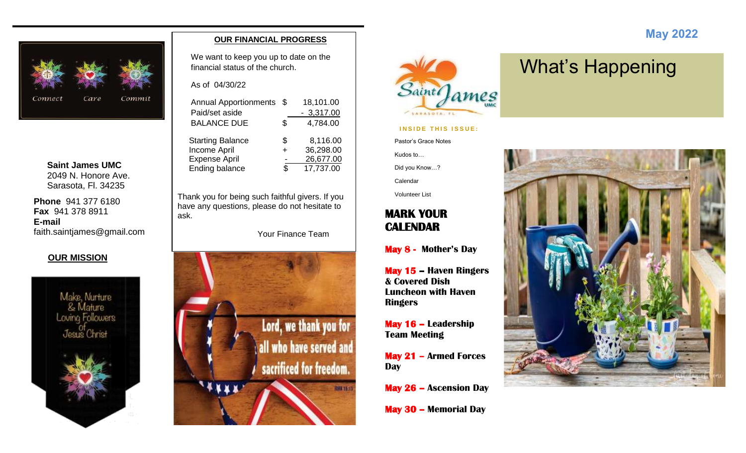

**Saint James UMC** 2049 N. Honore Ave. Sarasota, Fl. 34235

**Phone** 941 377 6180 **Fax** 941 378 8911 **E-mail** faith.saintjames@gmail.com

#### **OUR MISSION**



#### **OUR FINANCIAL PROGRESS**

We want to keep you up to date on the financial status of the church.

As of 04/30/22

| <b>Annual Apportionments</b> | -\$ | 18,101.00   |
|------------------------------|-----|-------------|
| Paid/set aside               |     | $-3,317.00$ |
| <b>BALANCE DUE</b>           | \$  | 4,784.00    |
| <b>Starting Balance</b>      | \$  | 8,116.00    |
| Income April                 | 4   | 36,298.00   |
| <b>Expense April</b>         |     | 26,677.00   |
| <b>Ending balance</b>        | \$. | 17,737.00   |
|                              |     |             |

Thank you for being such faithful givers. If you have any questions, please do not hesitate to ask.

Your Finance Team





#### **INSIDE THIS ISSUE:**

Pastor's Grace Notes

Kudos to…

Did you Know…? Calendar

Volunteer List

### **MARK YOUR CALENDAR**

**May 8 - Mother's Day** 

**May 15 – Haven Ringers & Covered Dish Luncheon with Haven Ringers**

**May 16 – Leadership Team Meeting**

**May 21 – Armed Forces Day**

**May 26 – Ascension Day**

**May 30 – Memorial Day**

# What's Happening

 **May 2022**

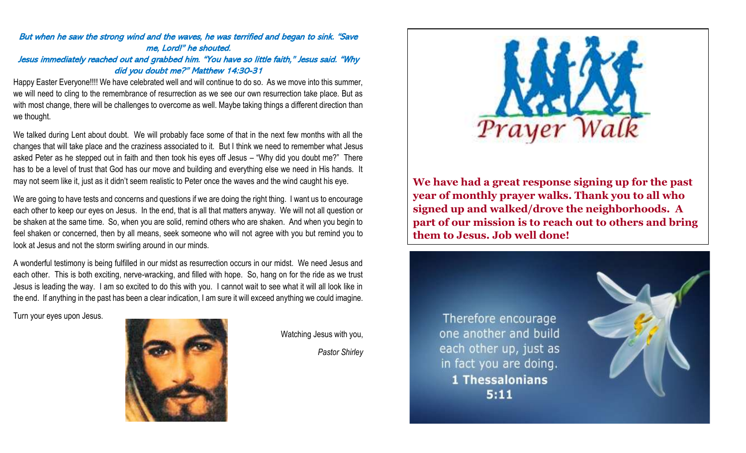#### But when he saw the strong wind and the waves, he was terrified and began to sink. "Save me, Lord!" he shouted. Jesus immediately reached out and grabbed him. "You have so little faith," Jesus said. "Why did you doubt me?" Matthew 14:30-31

Happy Easter Everyone!!!! We have celebrated well and will continue to do so. As we move into this summer, we will need to cling to the remembrance of resurrection as we see our own resurrection take place. But as with most change, there will be challenges to overcome as well. Maybe taking things a different direction than we thought.

We talked during Lent about doubt. We will probably face some of that in the next few months with all the changes that will take place and the craziness associated to it. But I think we need to remember what Jesus asked Peter as he stepped out in faith and then took his eyes off Jesus – "Why did you doubt me?" There has to be a level of trust that God has our move and building and everything else we need in His hands. It may not seem like it, just as it didn't seem realistic to Peter once the waves and the wind caught his eye.

We are going to have tests and concerns and questions if we are doing the right thing. I want us to encourage each other to keep our eyes on Jesus. In the end, that is all that matters anyway. We will not all question or be shaken at the same time. So, when you are solid, remind others who are shaken. And when you begin to feel shaken or concerned, then by all means, seek someone who will not agree with you but remind you to look at Jesus and not the storm swirling around in our minds.

A wonderful testimony is being fulfilled in our midst as resurrection occurs in our midst. We need Jesus and each other. This is both exciting, nerve-wracking, and filled with hope. So, hang on for the ride as we trust Jesus is leading the way. I am so excited to do this with you. I cannot wait to see what it will all look like in the end. If anything in the past has been a clear indication, I am sure it will exceed anything we could imagine.

Turn your eyes upon Jesus.



Watching Jesus with you,

*Pastor Shirley*



**We have had a great response signing up for the past year of monthly prayer walks. Thank you to all who signed up and walked/drove the neighborhoods. A part of our mission is to reach out to others and bring them to Jesus. Job well done!**

Therefore encourage one another and build each other up, just as in fact you are doing. **1 Thessalonians**  $5:11$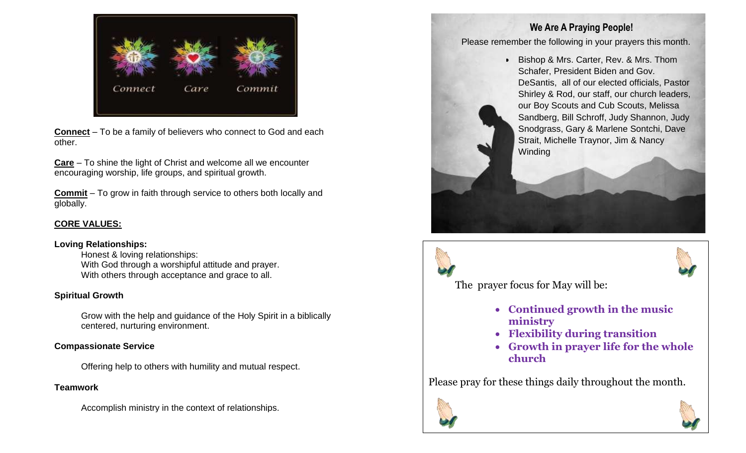

**Connect** – To be a family of believers who connect to God and each other.

**Care** – To shine the light of Christ and welcome all we encounter encouraging worship, life groups, and spiritual growth.

**Commit** – To grow in faith through service to others both locally and globally.

#### **CORE VALUES:**

#### **Loving Relationships:**

Honest & loving relationships: With God through a worshipful attitude and prayer. With others through acceptance and grace to all.

#### **Spiritual Growth**

Grow with the help and guidance of the Holy Spirit in a biblically centered, nurturing environment.

#### **Compassionate Service**

Offering help to others with humility and mutual respect.

#### **Teamwork**

Accomplish ministry in the context of relationships.

### **We Are A Praying People!**

Please remember the following in your prayers this month.

• Bishop & Mrs. Carter, Rev. & Mrs. Thom Schafer, President Biden and Gov. DeSantis, all of our elected officials, Pastor Shirley & Rod, our staff, our church leaders, our Boy Scouts and Cub Scouts, Melissa Sandberg, Bill Schroff, Judy Shannon, Judy Snodgrass, Gary & Marlene Sontchi, Dave Strait, Michelle Traynor, Jim & Nancy **Winding** 





The prayer focus for May will be:

- **Continued growth in the music ministry**
- **Flexibility during transition**
- **Growth in prayer life for the whole church**

Please pray for these things daily throughout the month.



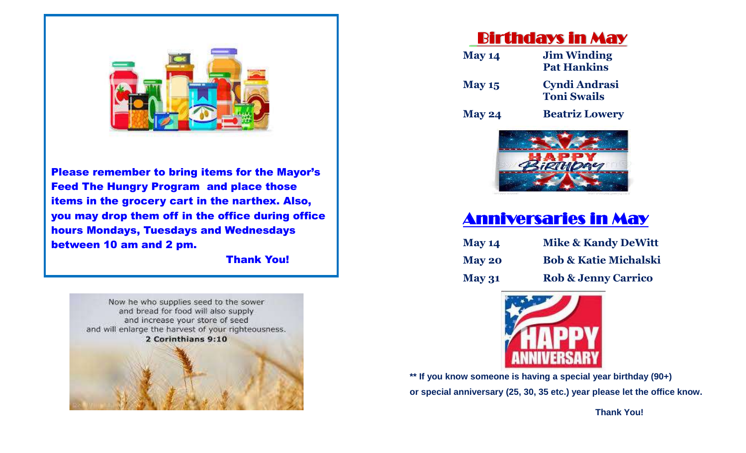

Please remember to bring items for the Mayor's Feed The Hungry Program and place those items in the grocery cart in the narthex. Also, you may drop them off in the office during office hours Mondays, Tuesdays and Wednesdays between 10 am and 2 pm.

Thank You!



## Birthdays in May

| <b>May 14</b> | <b>Jim Winding</b><br><b>Pat Hankins</b> |  |  |  |  |
|---------------|------------------------------------------|--|--|--|--|
| <b>May 15</b> | Cyndi Andrasi<br><b>Toni Swails</b>      |  |  |  |  |
| <b>May 24</b> | <b>Beatriz Lowery</b>                    |  |  |  |  |



## Anniversaries in May

| <b>May 14</b> | <b>Mike &amp; Kandy DeWitt</b>   |
|---------------|----------------------------------|
| <b>May 20</b> | <b>Bob &amp; Katie Michalski</b> |
| <b>May 31</b> | <b>Rob &amp; Jenny Carrico</b>   |



**\*\* If you know someone is having a special year birthday (90+) or special anniversary (25, 30, 35 etc.) year please let the office know.** 

 **Thank You!**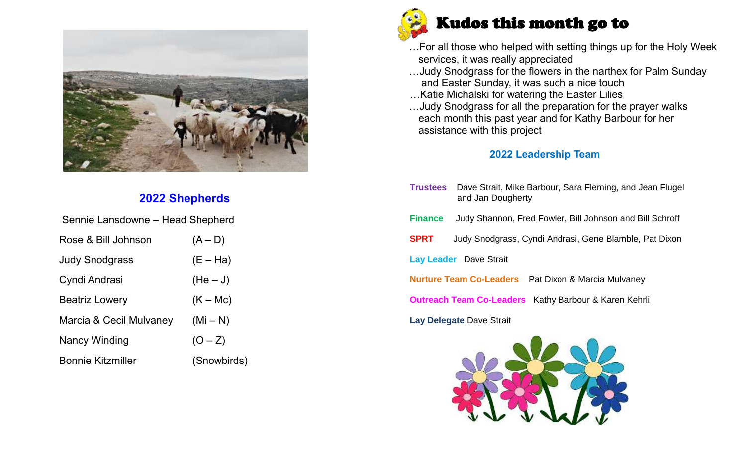

## **2022 Shepherds**

| Sennie Lansdowne – Head Shepherd |             |
|----------------------------------|-------------|
| Rose & Bill Johnson              | $(A - D)$   |
| <b>Judy Snodgrass</b>            | $(E - Ha)$  |
| Cyndi Andrasi                    | $(He-J)$    |
| <b>Beatriz Lowery</b>            | $(K - Mc)$  |
| Marcia & Cecil Mulvaney          | $(Mi-N)$    |
| Nancy Winding                    | $(O - Z)$   |
| <b>Bonnie Kitzmiller</b>         | (Snowbirds) |



- …For all those who helped with setting things up for the Holy Week services, it was really appreciated
- …Judy Snodgrass for the flowers in the narthex for Palm Sunday and Easter Sunday, it was such a nice touch
- …Katie Michalski for watering the Easter Lilies
- …Judy Snodgrass for all the preparation for the prayer walks each month this past year and for Kathy Barbour for her assistance with this project

#### **2022 Leadership Team**

**Trustees** Dave Strait, Mike Barbour, Sara Fleming, and Jean Flugel and Jan Dougherty **Finance** Judy Shannon, Fred Fowler, Bill Johnson and Bill Schroff **SPRT** Judy Snodgrass, Cyndi Andrasi, Gene Blamble, Pat Dixon **Lay Leader** Dave Strait **Nurture Team Co-Leaders** Pat Dixon & Marcia Mulvaney **Outreach Team Co-Leaders** Kathy Barbour & Karen Kehrli **Lay Delegate** Dave Strait

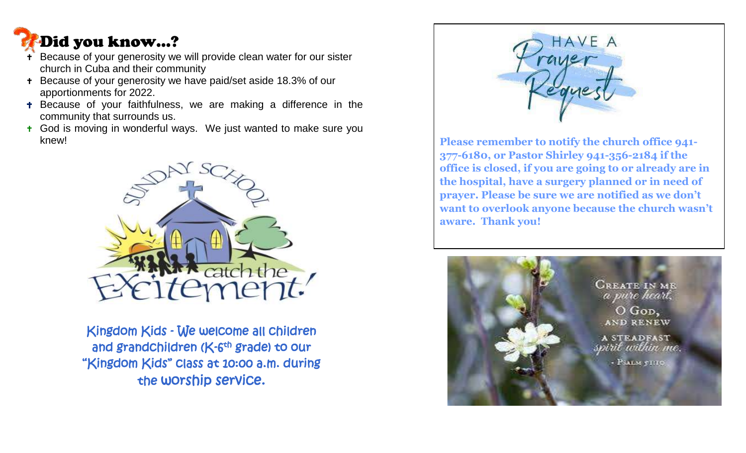# Did you know…?

j

- Because of your generosity we will provide clean water for our sister church in Cuba and their community
- + Because of your generosity we have paid/set aside 18.3% of our apportionments for 2022.
- **+** Because of your faithfulness, we are making a difference in the community that surrounds us.
- God is moving in wonderful ways. We just wanted to make sure you knew!



Kingdom Kids - We welcome all children and grandchildren (K-6<sup>th</sup> grade) <del>t</del>o our "Kingdom Kids" class at 10:00 a.m. during the worship service.



**Please remember to notify the church office 941- 377-6180, or Pastor Shirley 941-356-2184 if the office is closed, if you are going to or already are in the hospital, have a surgery planned or in need of prayer. Please be sure we are notified as we don't want to overlook anyone because the church wasn't aware. Thank you!**

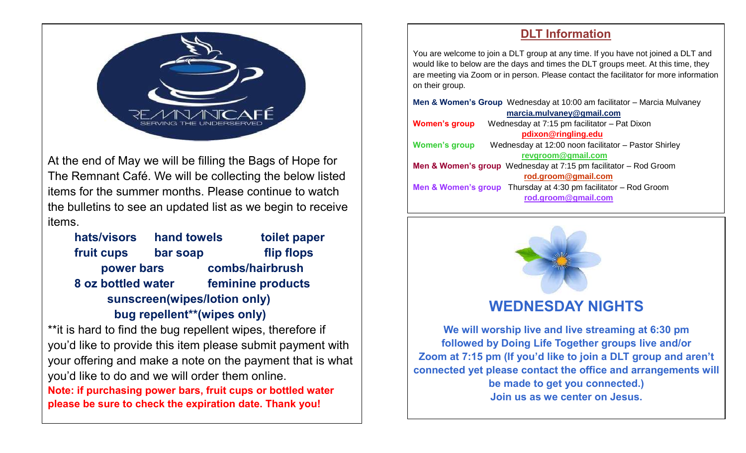

At the end of May we will be filling the Bags of Hope for The Remnant Café. We will be collecting the below listed items for the summer months. Please continue to watch the bulletins to see an updated list as we begin to receive items.

**hats/visors hand towels toilet paper fruit cups bar soap flip flops power bars combs/hairbrush 8 oz bottled water feminine products sunscreen(wipes/lotion only) bug repellent\*\*(wipes only)**

\*\* it is hard to find the bug repellent wipes, therefore if you'd like to provide this item please submit payment with your offering and make a note on the payment that is what you'd like to do and we will order them online. **Note: if purchasing power bars, fruit cups or bottled water please be sure to check the expiration date. Thank you!**

## **DLT Information**

You are welcome to join a DLT group at any time. If you have not joined a DLT and would like to below are the days and times the DLT groups meet. At this time, they are meeting via Zoom or in person. Please contact the facilitator for more information on their group.

| Men & Women's Group Wednesday at 10:00 am facilitator - Marcia Mulvaney      |  |  |  |  |  |  |  |  |
|------------------------------------------------------------------------------|--|--|--|--|--|--|--|--|
| marcia.mulvaney@gmail.com                                                    |  |  |  |  |  |  |  |  |
| Wednesday at 7:15 pm facilitator - Pat Dixon<br><b>Women's group</b>         |  |  |  |  |  |  |  |  |
| pdixon@ringling.edu                                                          |  |  |  |  |  |  |  |  |
| Wednesday at 12:00 noon facilitator - Pastor Shirley<br><b>Women's group</b> |  |  |  |  |  |  |  |  |
| revgroom@gmail.com                                                           |  |  |  |  |  |  |  |  |
| Men & Women's group Wednesday at 7:15 pm facilitator - Rod Groom             |  |  |  |  |  |  |  |  |
| rod.groom@gmail.com                                                          |  |  |  |  |  |  |  |  |
| <b>Men &amp; Women's group</b> Thursday at 4:30 pm facilitator $-$ Rod Groom |  |  |  |  |  |  |  |  |
| rod.groom@gmail.com                                                          |  |  |  |  |  |  |  |  |
|                                                                              |  |  |  |  |  |  |  |  |



## **WEDNESDAY NIGHTS**

**We will worship live and live streaming at 6:30 pm followed by Doing Life Together groups live and/or Zoom at 7:15 pm (If you'd like to join a DLT group and aren't connected yet please contact the office and arrangements will be made to get you connected.) Join us as we center on Jesus.**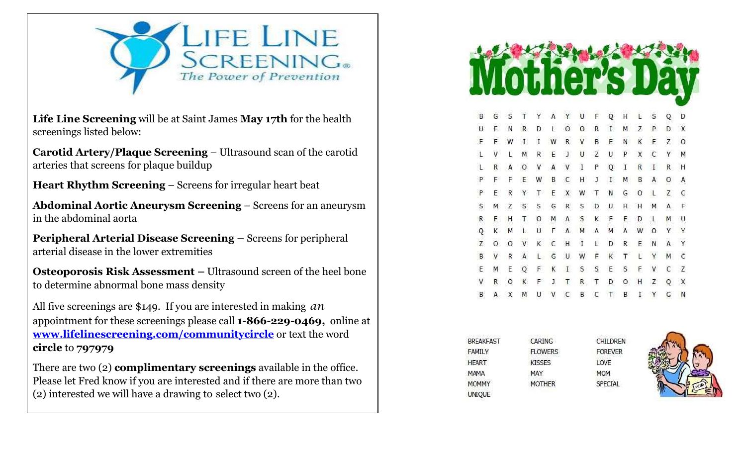

**Life Line Screening** will be at Saint James **May 17th** for the health screenings listed below:

**Carotid Artery/Plaque Screening** – Ultrasound scan of the carotid arteries that screens for plaque buildup

**Heart Rhythm Screening** – Screens for irregular heart beat

**Abdominal Aortic Aneurysm Screening** – Screens for an aneurysm in the abdominal aorta

**Peripheral Arterial Disease Screening –** Screens for peripheral arterial disease in the lower extremities

**Osteoporosis Risk Assessment –** Ultrasound screen of the heel bone to determine abnormal bone mass density

All five screenings are \$149. If you are interested in making *an*  appointment for these screenings please call **1-866-229-0469,** online at **[www.lifelinescreening.com/communitycircle](http://www.lifelinescreening.com/communitycircle)** or text the word **circle** to **797979**

There are two (2) **complimentary screenings** available in the office. Please let Fred know if you are interested and if there are more than two (2) interested we will have a drawing to select two (2).

| B              | G       | S       | Т                  | Υ                       | A | Y           | U           | Ë | Q            | Н |   | S      | Q       | D |
|----------------|---------|---------|--------------------|-------------------------|---|-------------|-------------|---|--------------|---|---|--------|---------|---|
| $\cup$         | F       | N       | R                  | D                       | Ĺ | 0           | 0           | R | I            | М | Z | P      | D       | X |
| $\mathsf F$    | F       | W       | $\mathbf{I}$       | $\rm I$                 | W | R           | V           | В | E            | N | Κ | E      | Z       | 0 |
| $\mathsf{L}$   | V       | L       | M                  | R                       | Ε | $\mathsf I$ | U           | Z | U            | P | Χ | C      | Υ       | М |
| L              | R       | Ä       | 0                  | ٧                       | А | V           | $\rm I$     | Ρ | Q            | I | R | $\,$ I | R       | H |
| $\mathsf{P}$   | F       | F       | Ε                  | W                       | В | С           | H           | J | $\mathbf{I}$ | Μ | В | A      | $\circ$ | A |
| P              | Ε       | R       | Υ                  | Τ                       | E | X           | W           | т | Ν            | G | о | L      | Z       | C |
| $\sf S$        | М       | Z       | S                  | S                       | G | R           | S           | D | U            | Η | Η | м      | Α       | F |
| R              | E       | H       | Τ                  | O                       | M | Α           | S           | Κ | F            | E | D | L      | M       | U |
| Q              | Κ       | M       | L                  | U                       | F | Α           | M           | А | М            | Α | W | O      | Ϋ       | Y |
| $\overline{z}$ | $\circ$ | $\circ$ | <b>SYSTEM</b><br>V | $\overline{\mathsf{K}}$ | C | Η           | $\mathbf I$ | Ĺ | D            | R | E | N      | A       | Ϋ |
| B              | V       | R       | A                  | L.                      | G | U           | W           | F | K            | T | Ľ | Y      | Μ       | С |
| Ε              | м       | E       | Q                  | F                       | κ | $\rm I$     | S           | S | Ε            | S | F | V      | C       | Z |
| V              | R       | O       | Κ                  | F                       | J | Τ           | R           | Τ | D            | O | Η | Z      | O       | Χ |
| B              | А       | X       | М                  | U                       | ٧ | С           | B           | C | Τ            | В | I | Υ      | G       | N |

| <b>BREAKFAST</b> | CARING         | <b>CHILDREN</b> |
|------------------|----------------|-----------------|
| FAMILY           | <b>FLOWERS</b> | <b>FOREVER</b>  |
| <b>HEART</b>     | <b>KISSES</b>  | LOVE            |
| MAMA             | MAY            | <b>MOM</b>      |
| <b>MOMMY</b>     | <b>MOTHER</b>  | <b>SPECIAL</b>  |
| UNIQUE           |                |                 |
|                  |                |                 |

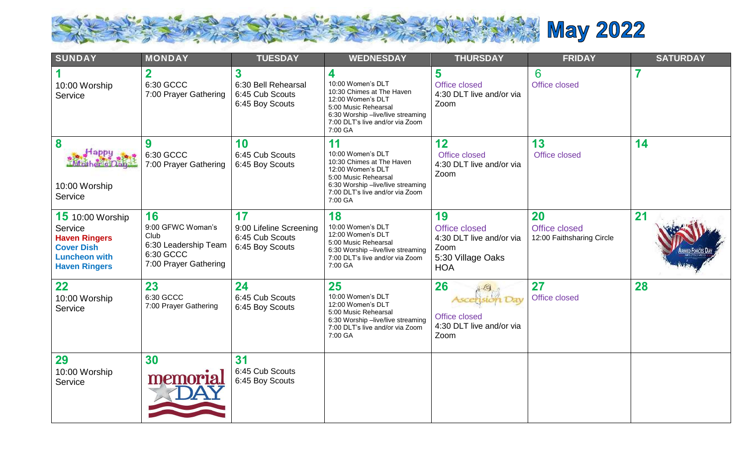

| <b>SUNDAY</b>                                                                                                                   | <b>MONDAY</b>                                                                                 | <b>TUESDAY</b>                                                      | <b>WEDNESDAY</b>                                                                                                                                                                     | <b>THURSDAY</b>                                                                             | <b>FRIDAY</b>                                           | <b>SATURDAY</b>     |
|---------------------------------------------------------------------------------------------------------------------------------|-----------------------------------------------------------------------------------------------|---------------------------------------------------------------------|--------------------------------------------------------------------------------------------------------------------------------------------------------------------------------------|---------------------------------------------------------------------------------------------|---------------------------------------------------------|---------------------|
| 10:00 Worship<br>Service                                                                                                        | $\mathbf 2$<br>6:30 GCCC<br>7:00 Prayer Gathering                                             | 3<br>6:30 Bell Rehearsal<br>6:45 Cub Scouts<br>6:45 Boy Scouts      | 4<br>10:00 Women's DLT<br>10:30 Chimes at The Haven<br>12:00 Women's DLT<br>5:00 Music Rehearsal<br>6:30 Worship -live/live streaming<br>7:00 DLT's live and/or via Zoom<br>7:00 GA  | 5<br>Office closed<br>4:30 DLT live and/or via<br>Zoom                                      | 6<br>Office closed                                      | 7                   |
| 8<br>Happy<br>10:00 Worship<br>Service                                                                                          | 9<br>6:30 GCCC<br>7:00 Prayer Gathering                                                       | 10<br>6:45 Cub Scouts<br>6:45 Boy Scouts                            | 11<br>10:00 Women's DLT<br>10:30 Chimes at The Haven<br>12:00 Women's DLT<br>5:00 Music Rehearsal<br>6:30 Worship -live/live streaming<br>7:00 DLT's live and/or via Zoom<br>7:00 GA | 12<br>Office closed<br>4:30 DLT live and/or via<br>Zoom                                     | 13<br>Office closed                                     | 14                  |
| <b>15</b> 10:00 Worship<br>Service<br><b>Haven Ringers</b><br><b>Cover Dish</b><br><b>Luncheon with</b><br><b>Haven Ringers</b> | 16<br>9:00 GFWC Woman's<br>Club<br>6:30 Leadership Team<br>6:30 GCCC<br>7:00 Prayer Gathering | 17<br>9:00 Lifeline Screening<br>6:45 Cub Scouts<br>6:45 Boy Scouts | 18<br>10:00 Women's DLT<br>12:00 Women's DLT<br>5:00 Music Rehearsal<br>6:30 Worship -live/live streaming<br>7:00 DLT's live and/or via Zoom<br>7:00 GA                              | 19<br>Office closed<br>4:30 DLT live and/or via<br>Zoom<br>5:30 Village Oaks<br><b>HOA</b>  | <b>20</b><br>Office closed<br>12:00 Faithsharing Circle | 21<br>VMED FORCES D |
| 22<br>10:00 Worship<br>Service                                                                                                  | 23<br>6:30 GCCC<br>7:00 Prayer Gathering                                                      | 24<br>6:45 Cub Scouts<br>6:45 Boy Scouts                            | 25<br>10:00 Women's DLT<br>12:00 Women's DLT<br>5:00 Music Rehearsal<br>6:30 Worship -live/live streaming<br>7:00 DLT's live and/or via Zoom<br>7:00 GA                              | 26<br>$7 - 19$<br><b>Ascension Day</b><br>Office closed<br>4:30 DLT live and/or via<br>Zoom | 27<br>Office closed                                     | 28                  |
| 29<br>10:00 Worship<br>Service                                                                                                  | 30<br>memorial                                                                                | 31<br>6:45 Cub Scouts<br>6:45 Boy Scouts                            |                                                                                                                                                                                      |                                                                                             |                                                         |                     |